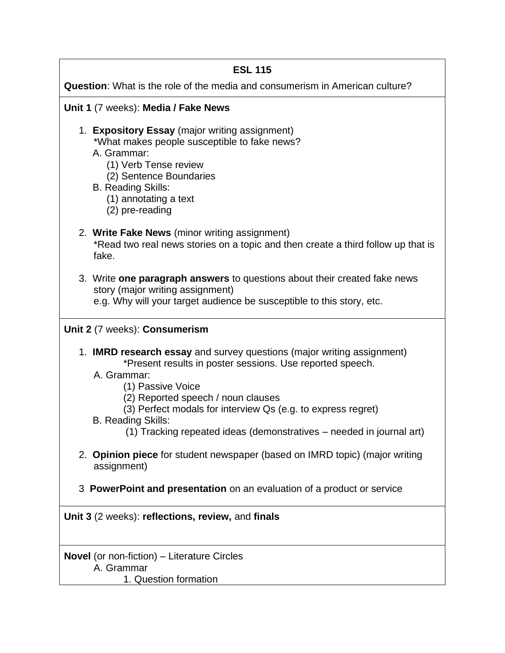## **ESL 115**

**Question**: What is the role of the media and consumerism in American culture?

#### **Unit 1** (7 weeks): **Media / Fake News**

- 1. **Expository Essay** (major writing assignment) \*What makes people susceptible to fake news?
	- A. Grammar:
		- (1) Verb Tense review
		- (2) Sentence Boundaries
	- B. Reading Skills:
		- (1) annotating a text
		- (2) pre-reading

### 2. **Write Fake News** (minor writing assignment)

\*Read two real news stories on a topic and then create a third follow up that is fake.

3. Write **one paragraph answers** to questions about their created fake news story (major writing assignment)

e.g. Why will your target audience be susceptible to this story, etc.

#### **Unit 2** (7 weeks): **Consumerism**

- 1. **IMRD research essay** and survey questions (major writing assignment) \*Present results in poster sessions. Use reported speech.
	- A. Grammar:
		- (1) Passive Voice
		- (2) Reported speech / noun clauses
		- (3) Perfect modals for interview Qs (e.g. to express regret)
	- B. Reading Skills:
		- (1) Tracking repeated ideas (demonstratives needed in journal art)
- 2. **Opinion piece** for student newspaper (based on IMRD topic) (major writing assignment)
- 3 **PowerPoint and presentation** on an evaluation of a product or service

**Unit 3** (2 weeks): **reflections, review,** and **finals**

**Novel** (or non-fiction) – Literature Circles A. Grammar

1. Question formation